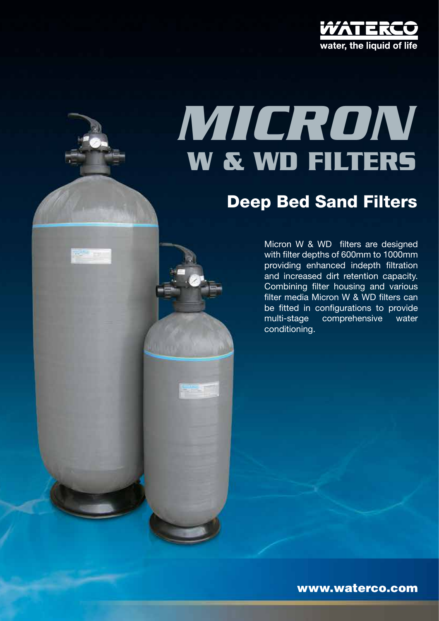

# **W & WD filters** *micron*

## Deep Bed Sand Filters

Micron W & WD filters are designed with filter depths of 600mm to 1000mm providing enhanced indepth filtration and increased dirt retention capacity. Combining filter housing and various filter media Micron W & WD filters can be fitted in configurations to provide multi-stage comprehensive water conditioning.

www.waterco.com